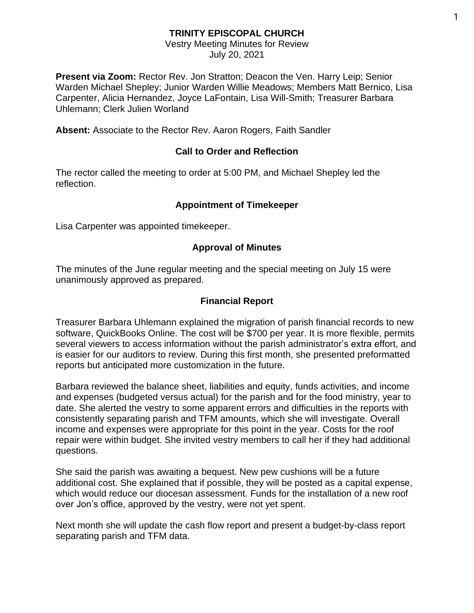## **TRINITY EPISCOPAL CHURCH**

# Vestry Meeting Minutes for Review

July 20, 2021

**Present via Zoom:** Rector Rev. Jon Stratton; Deacon the Ven. Harry Leip; Senior Warden Michael Shepley; Junior Warden Willie Meadows; Members Matt Bernico, Lisa Carpenter, Alicia Hernandez, Joyce LaFontain, Lisa Will-Smith; Treasurer Barbara Uhlemann; Clerk Julien Worland

**Absent:** Associate to the Rector Rev. Aaron Rogers, Faith Sandler

### **Call to Order and Reflection**

The rector called the meeting to order at 5:00 PM, and Michael Shepley led the reflection.

#### **Appointment of Timekeeper**

Lisa Carpenter was appointed timekeeper.

## **Approval of Minutes**

The minutes of the June regular meeting and the special meeting on July 15 were unanimously approved as prepared.

#### **Financial Report**

Treasurer Barbara Uhlemann explained the migration of parish financial records to new software, QuickBooks Online. The cost will be \$700 per year. It is more flexible, permits several viewers to access information without the parish administrator's extra effort, and is easier for our auditors to review. During this first month, she presented preformatted reports but anticipated more customization in the future.

Barbara reviewed the balance sheet, liabilities and equity, funds activities, and income and expenses (budgeted versus actual) for the parish and for the food ministry, year to date. She alerted the vestry to some apparent errors and difficulties in the reports with consistently separating parish and TFM amounts, which she will investigate. Overall income and expenses were appropriate for this point in the year. Costs for the roof repair were within budget. She invited vestry members to call her if they had additional questions.

She said the parish was awaiting a bequest. New pew cushions will be a future additional cost. She explained that if possible, they will be posted as a capital expense, which would reduce our diocesan assessment. Funds for the installation of a new roof over Jon's office, approved by the vestry, were not yet spent.

Next month she will update the cash flow report and present a budget-by-class report separating parish and TFM data.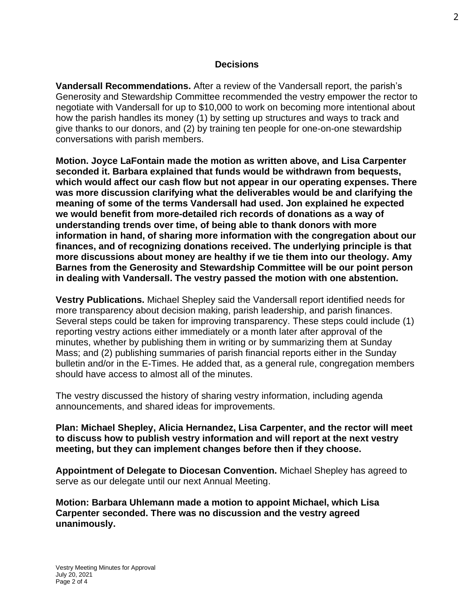**Vandersall Recommendations.** After a review of the Vandersall report, the parish's Generosity and Stewardship Committee recommended the vestry empower the rector to negotiate with Vandersall for up to \$10,000 to work on becoming more intentional about how the parish handles its money (1) by setting up structures and ways to track and give thanks to our donors, and (2) by training ten people for one-on-one stewardship conversations with parish members.

**Motion. Joyce LaFontain made the motion as written above, and Lisa Carpenter seconded it. Barbara explained that funds would be withdrawn from bequests, which would affect our cash flow but not appear in our operating expenses. There was more discussion clarifying what the deliverables would be and clarifying the meaning of some of the terms Vandersall had used. Jon explained he expected we would benefit from more-detailed rich records of donations as a way of understanding trends over time, of being able to thank donors with more information in hand, of sharing more information with the congregation about our finances, and of recognizing donations received. The underlying principle is that more discussions about money are healthy if we tie them into our theology. Amy Barnes from the Generosity and Stewardship Committee will be our point person in dealing with Vandersall. The vestry passed the motion with one abstention.**

**Vestry Publications.** Michael Shepley said the Vandersall report identified needs for more transparency about decision making, parish leadership, and parish finances. Several steps could be taken for improving transparency. These steps could include (1) reporting vestry actions either immediately or a month later after approval of the minutes, whether by publishing them in writing or by summarizing them at Sunday Mass; and (2) publishing summaries of parish financial reports either in the Sunday bulletin and/or in the E-Times. He added that, as a general rule, congregation members should have access to almost all of the minutes.

The vestry discussed the history of sharing vestry information, including agenda announcements, and shared ideas for improvements.

#### **Plan: Michael Shepley, Alicia Hernandez, Lisa Carpenter, and the rector will meet to discuss how to publish vestry information and will report at the next vestry meeting, but they can implement changes before then if they choose.**

**Appointment of Delegate to Diocesan Convention.** Michael Shepley has agreed to serve as our delegate until our next Annual Meeting.

**Motion: Barbara Uhlemann made a motion to appoint Michael, which Lisa Carpenter seconded. There was no discussion and the vestry agreed unanimously.**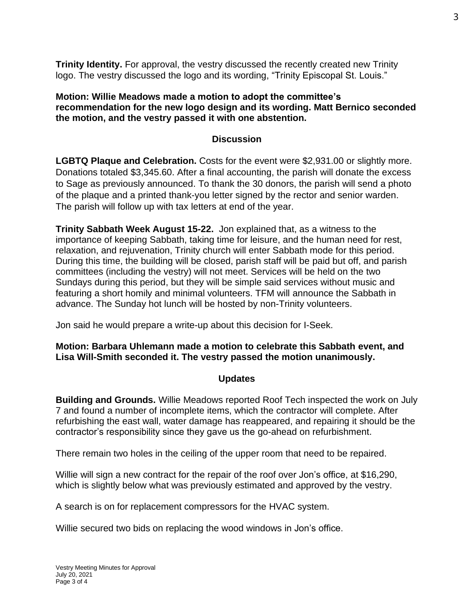**Trinity Identity.** For approval, the vestry discussed the recently created new Trinity logo. The vestry discussed the logo and its wording, "Trinity Episcopal St. Louis."

**Motion: Willie Meadows made a motion to adopt the committee's recommendation for the new logo design and its wording. Matt Bernico seconded the motion, and the vestry passed it with one abstention.**

#### **Discussion**

**LGBTQ Plaque and Celebration.** Costs for the event were \$2,931.00 or slightly more. Donations totaled \$3,345.60. After a final accounting, the parish will donate the excess to Sage as previously announced. To thank the 30 donors, the parish will send a photo of the plaque and a printed thank-you letter signed by the rector and senior warden. The parish will follow up with tax letters at end of the year.

**Trinity Sabbath Week August 15-22.** Jon explained that, as a witness to the importance of keeping Sabbath, taking time for leisure, and the human need for rest, relaxation, and rejuvenation, Trinity church will enter Sabbath mode for this period. During this time, the building will be closed, parish staff will be paid but off, and parish committees (including the vestry) will not meet. Services will be held on the two Sundays during this period, but they will be simple said services without music and featuring a short homily and minimal volunteers. TFM will announce the Sabbath in advance. The Sunday hot lunch will be hosted by non-Trinity volunteers.

Jon said he would prepare a write-up about this decision for I-Seek.

#### **Motion: Barbara Uhlemann made a motion to celebrate this Sabbath event, and Lisa Will-Smith seconded it. The vestry passed the motion unanimously.**

#### **Updates**

**Building and Grounds.** Willie Meadows reported Roof Tech inspected the work on July 7 and found a number of incomplete items, which the contractor will complete. After refurbishing the east wall, water damage has reappeared, and repairing it should be the contractor's responsibility since they gave us the go-ahead on refurbishment.

There remain two holes in the ceiling of the upper room that need to be repaired.

Willie will sign a new contract for the repair of the roof over Jon's office, at \$16,290, which is slightly below what was previously estimated and approved by the vestry.

A search is on for replacement compressors for the HVAC system.

Willie secured two bids on replacing the wood windows in Jon's office.